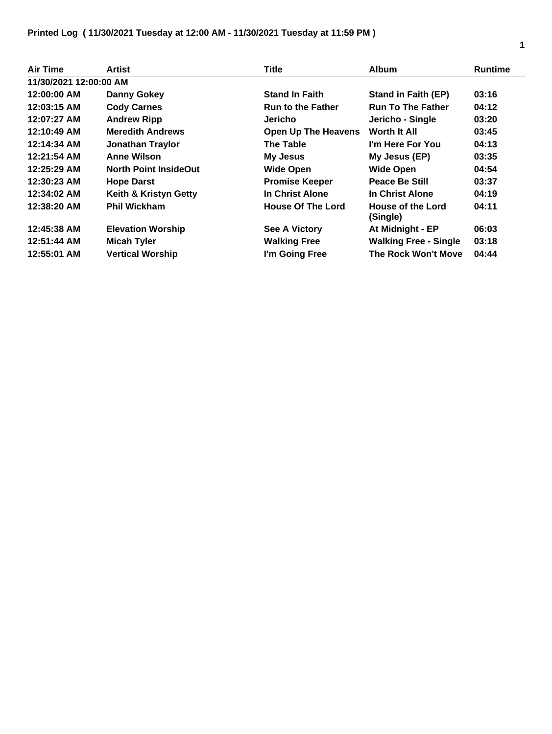| Air Time               | Artist                       | <b>Title</b>               | <b>Album</b>                  | <b>Runtime</b> |
|------------------------|------------------------------|----------------------------|-------------------------------|----------------|
| 11/30/2021 12:00:00 AM |                              |                            |                               |                |
| 12:00:00 AM            | <b>Danny Gokey</b>           | <b>Stand In Faith</b>      | <b>Stand in Faith (EP)</b>    | 03:16          |
| 12:03:15 AM            | <b>Cody Carnes</b>           | <b>Run to the Father</b>   | <b>Run To The Father</b>      | 04:12          |
| 12:07:27 AM            | <b>Andrew Ripp</b>           | <b>Jericho</b>             | Jericho - Single              | 03:20          |
| 12:10:49 AM            | <b>Meredith Andrews</b>      | <b>Open Up The Heavens</b> | <b>Worth It All</b>           | 03:45          |
| 12:14:34 AM            | Jonathan Traylor             | <b>The Table</b>           | I'm Here For You              | 04:13          |
| 12:21:54 AM            | <b>Anne Wilson</b>           | <b>My Jesus</b>            | My Jesus (EP)                 | 03:35          |
| 12:25:29 AM            | <b>North Point InsideOut</b> | <b>Wide Open</b>           | <b>Wide Open</b>              | 04:54          |
| 12:30:23 AM            | <b>Hope Darst</b>            | <b>Promise Keeper</b>      | <b>Peace Be Still</b>         | 03:37          |
| 12:34:02 AM            | Keith & Kristyn Getty        | In Christ Alone            | In Christ Alone               | 04:19          |
| 12:38:20 AM            | <b>Phil Wickham</b>          | <b>House Of The Lord</b>   | House of the Lord<br>(Single) | 04:11          |
| 12:45:38 AM            | <b>Elevation Worship</b>     | <b>See A Victory</b>       | At Midnight - EP              | 06:03          |
| 12:51:44 AM            | <b>Micah Tyler</b>           | <b>Walking Free</b>        | <b>Walking Free - Single</b>  | 03:18          |
| 12:55:01 AM            | <b>Vertical Worship</b>      | I'm Going Free             | The Rock Won't Move           | 04:44          |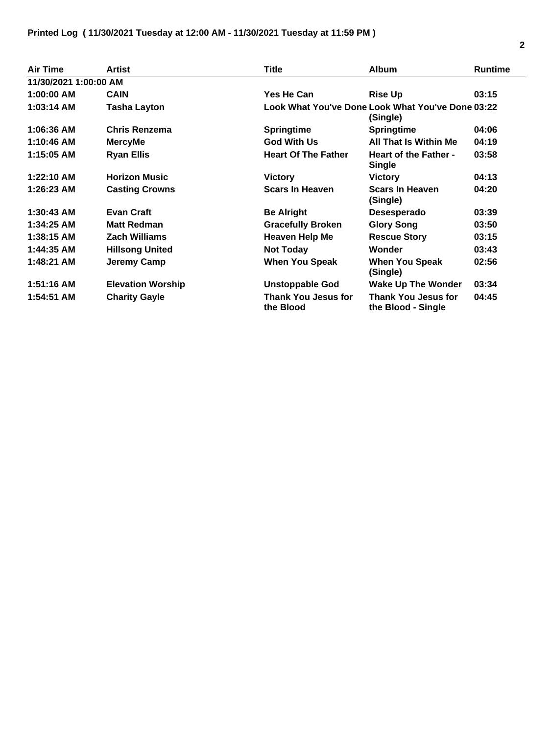| <b>Air Time</b>       | <b>Artist</b>            | <b>Title</b>                            | <b>Album</b>                                                  | <b>Runtime</b> |
|-----------------------|--------------------------|-----------------------------------------|---------------------------------------------------------------|----------------|
| 11/30/2021 1:00:00 AM |                          |                                         |                                                               |                |
| 1:00:00 AM            | <b>CAIN</b>              | Yes He Can                              | <b>Rise Up</b>                                                | 03:15          |
| 1:03:14 AM            | <b>Tasha Layton</b>      |                                         | Look What You've Done Look What You've Done 03:22<br>(Single) |                |
| 1:06:36 AM            | Chris Renzema            | <b>Springtime</b>                       | <b>Springtime</b>                                             | 04:06          |
| 1:10:46 AM            | <b>MercyMe</b>           | <b>God With Us</b>                      | All That Is Within Me                                         | 04:19          |
| 1:15:05 AM            | <b>Ryan Ellis</b>        | <b>Heart Of The Father</b>              | <b>Heart of the Father -</b><br><b>Single</b>                 | 03:58          |
| $1:22:10$ AM          | <b>Horizon Music</b>     | <b>Victory</b>                          | <b>Victory</b>                                                | 04:13          |
| $1:26:23$ AM          | <b>Casting Crowns</b>    | <b>Scars In Heaven</b>                  | <b>Scars In Heaven</b><br>(Single)                            | 04:20          |
| $1:30:43$ AM          | <b>Evan Craft</b>        | <b>Be Alright</b>                       | Desesperado                                                   | 03:39          |
| 1:34:25 AM            | <b>Matt Redman</b>       | <b>Gracefully Broken</b>                | <b>Glory Song</b>                                             | 03:50          |
| 1:38:15 AM            | <b>Zach Williams</b>     | <b>Heaven Help Me</b>                   | <b>Rescue Story</b>                                           | 03:15          |
| 1:44:35 AM            | <b>Hillsong United</b>   | <b>Not Today</b>                        | Wonder                                                        | 03:43          |
| 1:48:21 AM            | <b>Jeremy Camp</b>       | <b>When You Speak</b>                   | <b>When You Speak</b><br>(Single)                             | 02:56          |
| $1:51:16$ AM          | <b>Elevation Worship</b> | <b>Unstoppable God</b>                  | <b>Wake Up The Wonder</b>                                     | 03:34          |
| 1:54:51 AM            | <b>Charity Gayle</b>     | <b>Thank You Jesus for</b><br>the Blood | Thank You Jesus for<br>the Blood - Single                     | 04:45          |

L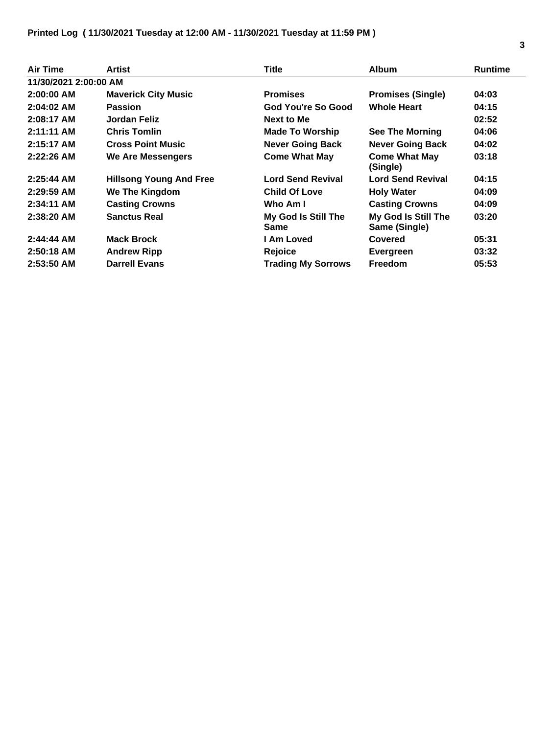| Air Time              | Artist                         | Title                       | <b>Album</b>                         | <b>Runtime</b> |
|-----------------------|--------------------------------|-----------------------------|--------------------------------------|----------------|
| 11/30/2021 2:00:00 AM |                                |                             |                                      |                |
| $2:00:00$ AM          | <b>Maverick City Music</b>     | <b>Promises</b>             | <b>Promises (Single)</b>             | 04:03          |
| $2:04:02$ AM          | <b>Passion</b>                 | God You're So Good          | <b>Whole Heart</b>                   | 04:15          |
| $2:08:17$ AM          | Jordan Feliz                   | <b>Next to Me</b>           |                                      | 02:52          |
| $2:11:11$ AM          | <b>Chris Tomlin</b>            | <b>Made To Worship</b>      | <b>See The Morning</b>               | 04:06          |
| $2:15:17$ AM          | <b>Cross Point Music</b>       | <b>Never Going Back</b>     | <b>Never Going Back</b>              | 04:02          |
| $2:22:26$ AM          | We Are Messengers              | <b>Come What May</b>        | <b>Come What May</b><br>(Single)     | 03:18          |
| $2:25:44$ AM          | <b>Hillsong Young And Free</b> | <b>Lord Send Revival</b>    | <b>Lord Send Revival</b>             | 04:15          |
| $2:29:59$ AM          | We The Kingdom                 | <b>Child Of Love</b>        | <b>Holy Water</b>                    | 04:09          |
| $2:34:11$ AM          | <b>Casting Crowns</b>          | Who Am I                    | <b>Casting Crowns</b>                | 04:09          |
| $2:38:20$ AM          | <b>Sanctus Real</b>            | My God Is Still The<br>Same | My God Is Still The<br>Same (Single) | 03:20          |
| $2:44:44$ AM          | <b>Mack Brock</b>              | I Am Loved                  | Covered                              | 05:31          |
| $2:50:18$ AM          | <b>Andrew Ripp</b>             | Rejoice                     | Evergreen                            | 03:32          |
| $2:53:50$ AM          | <b>Darrell Evans</b>           | <b>Trading My Sorrows</b>   | <b>Freedom</b>                       | 05:53          |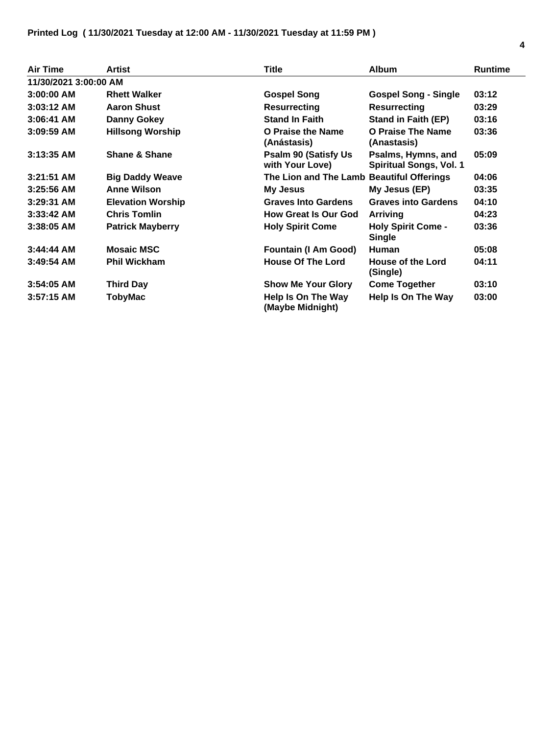| <b>Air Time</b>       | <b>Artist</b>            | <b>Title</b>                                   | <b>Album</b>                                         | <b>Runtime</b> |
|-----------------------|--------------------------|------------------------------------------------|------------------------------------------------------|----------------|
| 11/30/2021 3:00:00 AM |                          |                                                |                                                      |                |
| 3:00:00 AM            | <b>Rhett Walker</b>      | <b>Gospel Song</b>                             | <b>Gospel Song - Single</b>                          | 03:12          |
| $3:03:12$ AM          | <b>Aaron Shust</b>       | <b>Resurrecting</b>                            | <b>Resurrecting</b>                                  | 03:29          |
| $3:06:41$ AM          | <b>Danny Gokey</b>       | <b>Stand In Faith</b>                          | <b>Stand in Faith (EP)</b>                           | 03:16          |
| $3:09:59$ AM          | <b>Hillsong Worship</b>  | O Praise the Name<br>(Anástasis)               | <b>O Praise The Name</b><br>(Anastasis)              | 03:36          |
| $3:13:35$ AM          | <b>Shane &amp; Shane</b> | <b>Psalm 90 (Satisfy Us</b><br>with Your Love) | Psalms, Hymns, and<br><b>Spiritual Songs, Vol. 1</b> | 05:09          |
| $3:21:51$ AM          | <b>Big Daddy Weave</b>   | The Lion and The Lamb Beautiful Offerings      |                                                      | 04:06          |
| $3:25:56$ AM          | <b>Anne Wilson</b>       | My Jesus                                       | My Jesus (EP)                                        | 03:35          |
| $3:29:31$ AM          | <b>Elevation Worship</b> | <b>Graves Into Gardens</b>                     | <b>Graves into Gardens</b>                           | 04:10          |
| $3:33:42$ AM          | <b>Chris Tomlin</b>      | <b>How Great Is Our God</b>                    | <b>Arriving</b>                                      | 04:23          |
| $3:38:05$ AM          | <b>Patrick Mayberry</b>  | <b>Holy Spirit Come</b>                        | <b>Holy Spirit Come -</b><br><b>Single</b>           | 03:36          |
| $3:44:44$ AM          | <b>Mosaic MSC</b>        | <b>Fountain (I Am Good)</b>                    | <b>Human</b>                                         | 05:08          |
| $3:49:54$ AM          | <b>Phil Wickham</b>      | <b>House Of The Lord</b>                       | <b>House of the Lord</b><br>(Single)                 | 04:11          |
| $3:54:05$ AM          | <b>Third Day</b>         | <b>Show Me Your Glory</b>                      | <b>Come Together</b>                                 | 03:10          |
| $3:57:15$ AM          | <b>TobyMac</b>           | Help Is On The Way<br>(Maybe Midnight)         | Help Is On The Way                                   | 03:00          |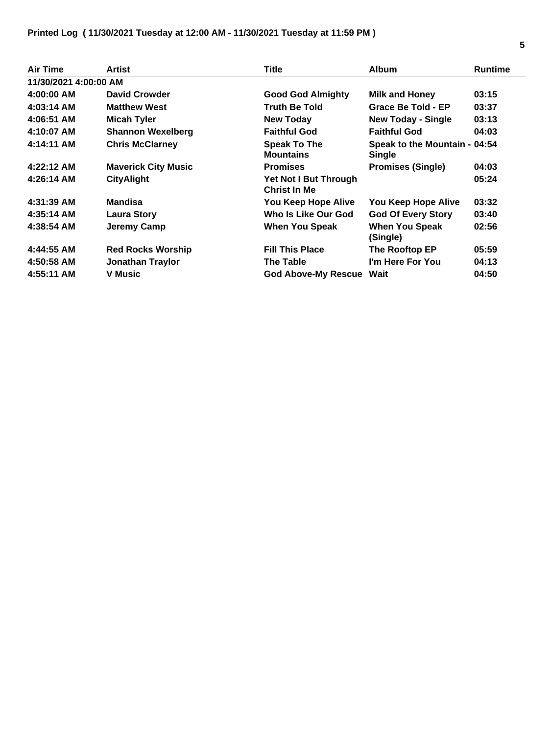| <b>Air Time</b>       | <b>Artist</b>              | <b>Title</b>                                 | <b>Album</b>                            | <b>Runtime</b> |
|-----------------------|----------------------------|----------------------------------------------|-----------------------------------------|----------------|
| 11/30/2021 4:00:00 AM |                            |                                              |                                         |                |
| 4:00:00 AM            | <b>David Crowder</b>       | <b>Good God Almighty</b>                     | <b>Milk and Honey</b>                   | 03:15          |
| 4:03:14 AM            | <b>Matthew West</b>        | <b>Truth Be Told</b>                         | Grace Be Told - EP                      | 03:37          |
| 4:06:51 AM            | <b>Micah Tyler</b>         | <b>New Today</b>                             | <b>New Today - Single</b>               | 03:13          |
| 4:10:07 AM            | <b>Shannon Wexelberg</b>   | <b>Faithful God</b>                          | <b>Faithful God</b>                     | 04:03          |
| 4:14:11 AM            | <b>Chris McClarney</b>     | <b>Speak To The</b><br><b>Mountains</b>      | Speak to the Mountain - 04:54<br>Single |                |
| 4:22:12 AM            | <b>Maverick City Music</b> | <b>Promises</b>                              | <b>Promises (Single)</b>                | 04:03          |
| 4:26:14 AM            | <b>CityAlight</b>          | Yet Not I But Through<br><b>Christ In Me</b> |                                         | 05:24          |
| 4:31:39 AM            | <b>Mandisa</b>             | You Keep Hope Alive                          | You Keep Hope Alive                     | 03:32          |
| 4:35:14 AM            | <b>Laura Story</b>         | Who Is Like Our God                          | <b>God Of Every Story</b>               | 03:40          |
| 4:38:54 AM            | Jeremy Camp                | <b>When You Speak</b>                        | <b>When You Speak</b><br>(Single)       | 02:56          |
| 4:44:55 AM            | <b>Red Rocks Worship</b>   | <b>Fill This Place</b>                       | The Rooftop EP                          | 05:59          |
| 4:50:58 AM            | Jonathan Traylor           | The Table                                    | I'm Here For You                        | 04:13          |
| 4:55:11 AM            | <b>V</b> Music             | <b>God Above-My Rescue Wait</b>              |                                         | 04:50          |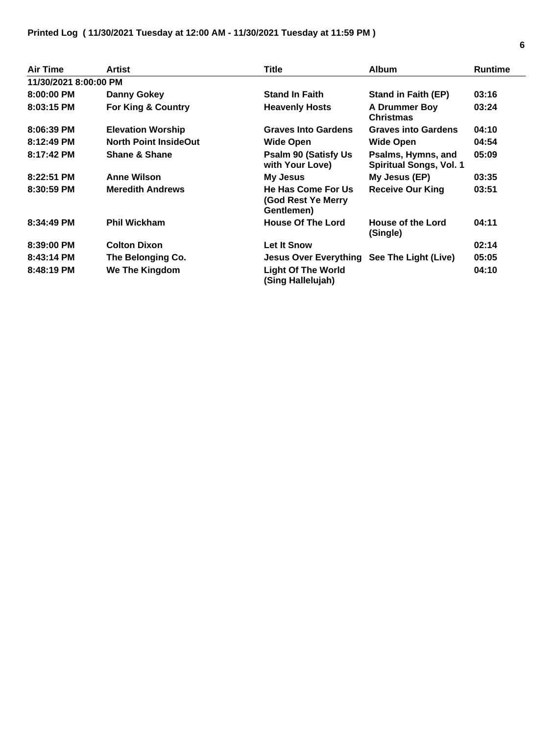| <b>Air Time</b>       | Artist                       | <b>Title</b>                                           | <b>Album</b>                                         | <b>Runtime</b> |
|-----------------------|------------------------------|--------------------------------------------------------|------------------------------------------------------|----------------|
| 11/30/2021 8:00:00 PM |                              |                                                        |                                                      |                |
| 8:00:00 PM            | <b>Danny Gokey</b>           | <b>Stand In Faith</b>                                  | Stand in Faith (EP)                                  | 03:16          |
| 8:03:15 PM            | For King & Country           | <b>Heavenly Hosts</b>                                  | A Drummer Boy<br><b>Christmas</b>                    | 03:24          |
| 8:06:39 PM            | <b>Elevation Worship</b>     | <b>Graves Into Gardens</b>                             | <b>Graves into Gardens</b>                           | 04:10          |
| 8:12:49 PM            | <b>North Point InsideOut</b> | <b>Wide Open</b>                                       | <b>Wide Open</b>                                     | 04:54          |
| 8:17:42 PM            | <b>Shane &amp; Shane</b>     | <b>Psalm 90 (Satisfy Us</b><br>with Your Love)         | Psalms, Hymns, and<br><b>Spiritual Songs, Vol. 1</b> | 05:09          |
| $8:22:51$ PM          | <b>Anne Wilson</b>           | My Jesus                                               | My Jesus (EP)                                        | 03:35          |
| 8:30:59 PM            | <b>Meredith Andrews</b>      | He Has Come For Us<br>(God Rest Ye Merry<br>Gentlemen) | <b>Receive Our King</b>                              | 03:51          |
| 8:34:49 PM            | <b>Phil Wickham</b>          | <b>House Of The Lord</b>                               | House of the Lord<br>(Single)                        | 04:11          |
| 8:39:00 PM            | <b>Colton Dixon</b>          | Let It Snow                                            |                                                      | 02:14          |
| 8:43:14 PM            | The Belonging Co.            | Jesus Over Everything See The Light (Live)             |                                                      | 05:05          |
| 8:48:19 PM            | We The Kingdom               | <b>Light Of The World</b><br>(Sing Hallelujah)         |                                                      | 04:10          |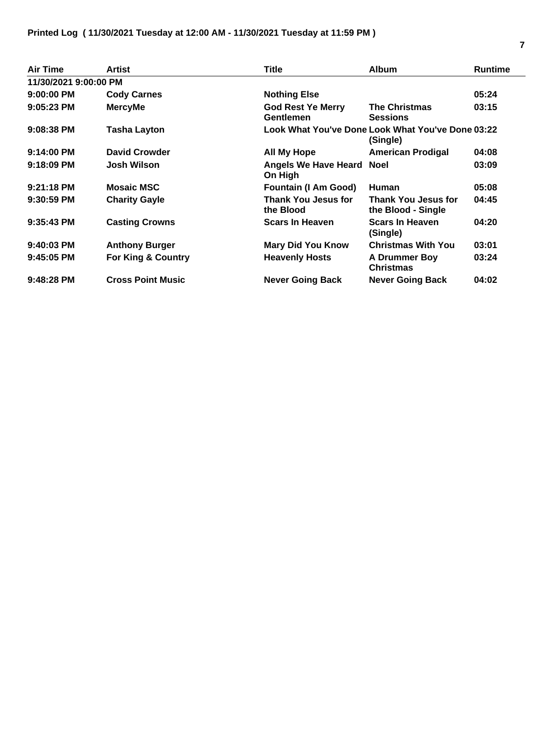| <b>Air Time</b>       | Artist                   | Title                                        | <b>Album</b>                                                  | <b>Runtime</b> |
|-----------------------|--------------------------|----------------------------------------------|---------------------------------------------------------------|----------------|
| 11/30/2021 9:00:00 PM |                          |                                              |                                                               |                |
| $9:00:00$ PM          | <b>Cody Carnes</b>       | <b>Nothing Else</b>                          |                                                               | 05:24          |
| $9:05:23$ PM          | <b>MercyMe</b>           | <b>God Rest Ye Merry</b><br><b>Gentlemen</b> | <b>The Christmas</b><br><b>Sessions</b>                       | 03:15          |
| 9:08:38 PM            | <b>Tasha Layton</b>      |                                              | Look What You've Done Look What You've Done 03:22<br>(Single) |                |
| $9:14:00$ PM          | <b>David Crowder</b>     | <b>All My Hope</b>                           | <b>American Prodigal</b>                                      | 04:08          |
| $9:18:09$ PM          | <b>Josh Wilson</b>       | Angels We Have Heard Noel<br>On High         |                                                               | 03:09          |
| $9:21:18$ PM          | <b>Mosaic MSC</b>        | <b>Fountain (I Am Good)</b>                  | <b>Human</b>                                                  | 05:08          |
| 9:30:59 PM            | <b>Charity Gayle</b>     | <b>Thank You Jesus for</b><br>the Blood      | <b>Thank You Jesus for</b><br>the Blood - Single              | 04:45          |
| $9:35:43$ PM          | <b>Casting Crowns</b>    | <b>Scars In Heaven</b>                       | <b>Scars In Heaven</b><br>(Single)                            | 04:20          |
| $9:40:03$ PM          | <b>Anthony Burger</b>    | <b>Mary Did You Know</b>                     | <b>Christmas With You</b>                                     | 03:01          |
| 9:45:05 PM            | For King & Country       | <b>Heavenly Hosts</b>                        | A Drummer Boy<br><b>Christmas</b>                             | 03:24          |
| 9:48:28 PM            | <b>Cross Point Music</b> | <b>Never Going Back</b>                      | <b>Never Going Back</b>                                       | 04:02          |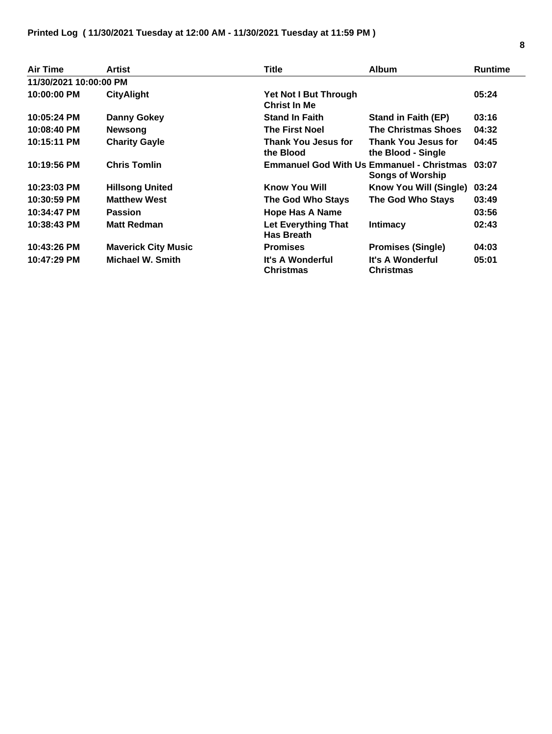| Air Time               | Artist                     | Title                                        | <b>Album</b>                                                                | <b>Runtime</b> |
|------------------------|----------------------------|----------------------------------------------|-----------------------------------------------------------------------------|----------------|
| 11/30/2021 10:00:00 PM |                            |                                              |                                                                             |                |
| 10:00:00 PM            | <b>CityAlight</b>          | Yet Not I But Through<br><b>Christ In Me</b> |                                                                             | 05:24          |
| 10:05:24 PM            | Danny Gokey                | <b>Stand In Faith</b>                        | Stand in Faith (EP)                                                         | 03:16          |
| 10:08:40 PM            | <b>Newsong</b>             | <b>The First Noel</b>                        | <b>The Christmas Shoes</b>                                                  | 04:32          |
| 10:15:11 PM            | <b>Charity Gayle</b>       | <b>Thank You Jesus for</b><br>the Blood      | <b>Thank You Jesus for</b><br>the Blood - Single                            | 04:45          |
| 10:19:56 PM            | <b>Chris Tomlin</b>        |                                              | <b>Emmanuel God With Us Emmanuel - Christmas</b><br><b>Songs of Worship</b> | 03:07          |
| 10:23:03 PM            | <b>Hillsong United</b>     | <b>Know You Will</b>                         | Know You Will (Single)                                                      | 03:24          |
| 10:30:59 PM            | <b>Matthew West</b>        | The God Who Stays                            | The God Who Stays                                                           | 03:49          |
| 10:34:47 PM            | <b>Passion</b>             | <b>Hope Has A Name</b>                       |                                                                             | 03:56          |
| 10:38:43 PM            | <b>Matt Redman</b>         | Let Everything That<br><b>Has Breath</b>     | <b>Intimacy</b>                                                             | 02:43          |
| 10:43:26 PM            | <b>Maverick City Music</b> | <b>Promises</b>                              | <b>Promises (Single)</b>                                                    | 04:03          |
| 10:47:29 PM            | Michael W. Smith           | It's A Wonderful<br><b>Christmas</b>         | It's A Wonderful<br><b>Christmas</b>                                        | 05:01          |